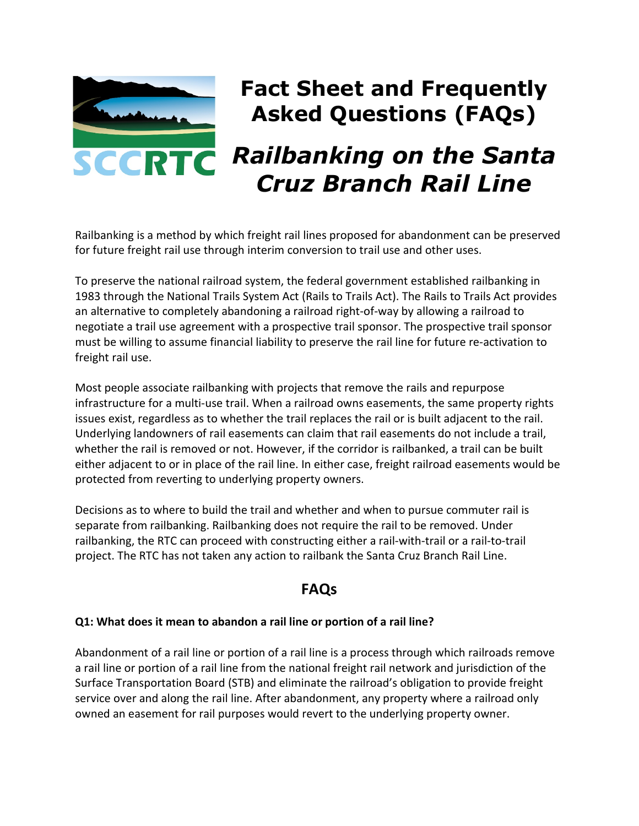

## **Fact Sheet and Frequently Asked Questions (FAQs)**

# *Railbanking on the Santa Cruz Branch Rail Line*

Railbanking is a method by which freight rail lines proposed for abandonment can be preserved for future freight rail use through interim conversion to trail use and other uses.

To preserve the national railroad system, the federal government established railbanking in 1983 through the National Trails System Act (Rails to Trails Act). The Rails to Trails Act provides an alternative to completely abandoning a railroad right-of-way by allowing a railroad to negotiate a trail use agreement with a prospective trail sponsor. The prospective trail sponsor must be willing to assume financial liability to preserve the rail line for future re-activation to freight rail use.

Most people associate railbanking with projects that remove the rails and repurpose infrastructure for a multi-use trail. When a railroad owns easements, the same property rights issues exist, regardless as to whether the trail replaces the rail or is built adjacent to the rail. Underlying landowners of rail easements can claim that rail easements do not include a trail, whether the rail is removed or not. However, if the corridor is railbanked, a trail can be built either adjacent to or in place of the rail line. In either case, freight railroad easements would be protected from reverting to underlying property owners.

Decisions as to where to build the trail and whether and when to pursue commuter rail is separate from railbanking. Railbanking does not require the rail to be removed. Under railbanking, the RTC can proceed with constructing either a rail-with-trail or a rail-to-trail project. The RTC has not taken any action to railbank the Santa Cruz Branch Rail Line.

### **FAQs**

#### **Q1: What does it mean to abandon a rail line or portion of a rail line?**

Abandonment of a rail line or portion of a rail line is a process through which railroads remove a rail line or portion of a rail line from the national freight rail network and jurisdiction of the Surface Transportation Board (STB) and eliminate the railroad's obligation to provide freight service over and along the rail line. After abandonment, any property where a railroad only owned an easement for rail purposes would revert to the underlying property owner.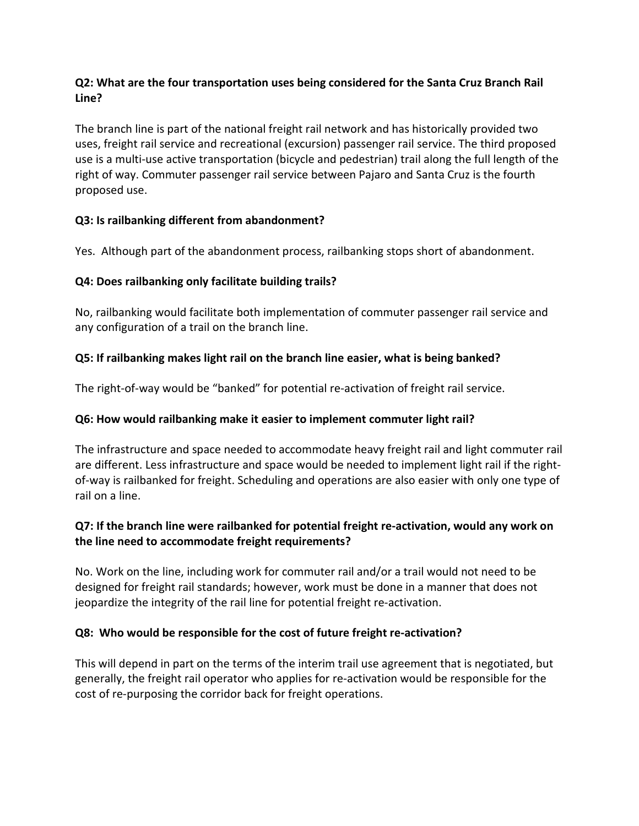#### **Q2: What are the four transportation uses being considered for the Santa Cruz Branch Rail Line?**

The branch line is part of the national freight rail network and has historically provided two uses, freight rail service and recreational (excursion) passenger rail service. The third proposed use is a multi-use active transportation (bicycle and pedestrian) trail along the full length of the right of way. Commuter passenger rail service between Pajaro and Santa Cruz is the fourth proposed use.

#### **Q3: Is railbanking different from abandonment?**

Yes. Although part of the abandonment process, railbanking stops short of abandonment.

#### **Q4: Does railbanking only facilitate building trails?**

No, railbanking would facilitate both implementation of commuter passenger rail service and any configuration of a trail on the branch line.

#### **Q5: If railbanking makes light rail on the branch line easier, what is being banked?**

The right-of-way would be "banked" for potential re-activation of freight rail service.

#### **Q6: How would railbanking make it easier to implement commuter light rail?**

The infrastructure and space needed to accommodate heavy freight rail and light commuter rail are different. Less infrastructure and space would be needed to implement light rail if the rightof-way is railbanked for freight. Scheduling and operations are also easier with only one type of rail on a line.

#### **Q7: If the branch line were railbanked for potential freight re-activation, would any work on the line need to accommodate freight requirements?**

No. Work on the line, including work for commuter rail and/or a trail would not need to be designed for freight rail standards; however, work must be done in a manner that does not jeopardize the integrity of the rail line for potential freight re-activation.

#### **Q8: Who would be responsible for the cost of future freight re-activation?**

This will depend in part on the terms of the interim trail use agreement that is negotiated, but generally, the freight rail operator who applies for re-activation would be responsible for the cost of re-purposing the corridor back for freight operations.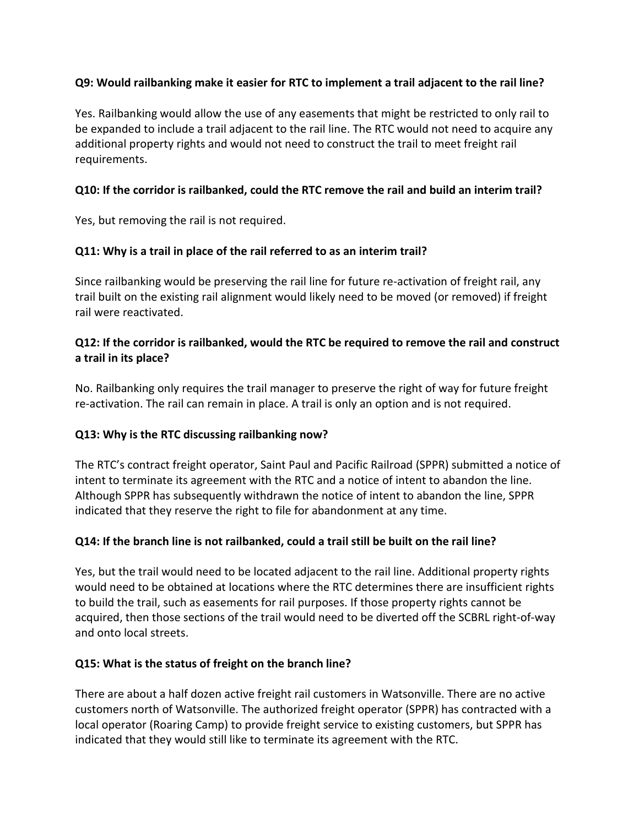#### **Q9: Would railbanking make it easier for RTC to implement a trail adjacent to the rail line?**

Yes. Railbanking would allow the use of any easements that might be restricted to only rail to be expanded to include a trail adjacent to the rail line. The RTC would not need to acquire any additional property rights and would not need to construct the trail to meet freight rail requirements.

#### **Q10: If the corridor is railbanked, could the RTC remove the rail and build an interim trail?**

Yes, but removing the rail is not required.

#### **Q11: Why is a trail in place of the rail referred to as an interim trail?**

Since railbanking would be preserving the rail line for future re-activation of freight rail, any trail built on the existing rail alignment would likely need to be moved (or removed) if freight rail were reactivated.

#### **Q12: If the corridor is railbanked, would the RTC be required to remove the rail and construct a trail in its place?**

No. Railbanking only requires the trail manager to preserve the right of way for future freight re-activation. The rail can remain in place. A trail is only an option and is not required.

#### **Q13: Why is the RTC discussing railbanking now?**

The RTC's contract freight operator, Saint Paul and Pacific Railroad (SPPR) submitted a notice of intent to terminate its agreement with the RTC and a notice of intent to abandon the line. Although SPPR has subsequently withdrawn the notice of intent to abandon the line, SPPR indicated that they reserve the right to file for abandonment at any time.

#### **Q14: If the branch line is not railbanked, could a trail still be built on the rail line?**

Yes, but the trail would need to be located adjacent to the rail line. Additional property rights would need to be obtained at locations where the RTC determines there are insufficient rights to build the trail, such as easements for rail purposes. If those property rights cannot be acquired, then those sections of the trail would need to be diverted off the SCBRL right-of-way and onto local streets.

#### **Q15: What is the status of freight on the branch line?**

There are about a half dozen active freight rail customers in Watsonville. There are no active customers north of Watsonville. The authorized freight operator (SPPR) has contracted with a local operator (Roaring Camp) to provide freight service to existing customers, but SPPR has indicated that they would still like to terminate its agreement with the RTC.